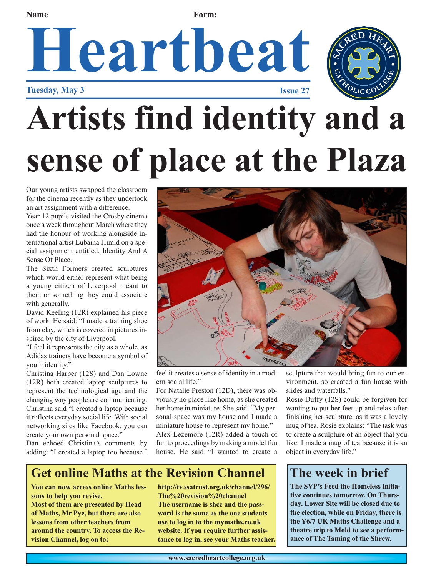### **Heartbeat Tuesday, May 3 Issue 27 Name Form:**



## **Artists find identity and a sense of place at the Plaza**

Our young artists swapped the classroom for the cinema recently as they undertook an art assignment with a difference.

Year 12 pupils visited the Crosby cinema once a week throughout March where they had the honour of working alongside international artist Lubaina Himid on a special assignment entitled, Identity And A Sense Of Place.

The Sixth Formers created sculptures which would either represent what being a young citizen of Liverpool meant to them or something they could associate with generally.

David Keeling (12R) explained his piece of work. He said: "I made a training shoe from clay, which is covered in pictures inspired by the city of Liverpool.

"I feel it represents the city as a whole, as Adidas trainers have become a symbol of youth identity."

Christina Harper (12S) and Dan Lowne (12R) both created laptop sculptures to represent the technological age and the changing way people are communicating. Christina said "I created a laptop because it reflects everyday social life. With social networking sites like Facebook, you can create your own personal space."

Dan echoed Christina's comments by adding: "I created a laptop too because I



feel it creates a sense of identity in a modern social life."

For Natalie Preston (12D), there was obviously no place like home, as she created her home in miniature. She said: "My personal space was my house and I made a miniature house to represent my home."

Alex Lezemore (12R) added a touch of fun to proceedings by making a model fun house. He said: "I wanted to create a

sculpture that would bring fun to our environment, so created a fun house with slides and waterfalls."

Rosie Duffy (12S) could be forgiven for wanting to put her feet up and relax after finishing her sculpture, as it was a lovely mug of tea. Rosie explains: "The task was to create a sculpture of an object that you like. I made a mug of tea because it is an object in everyday life."

#### **The week in brief**

**The SVP's Feed the Homeless initiative continues tomorrow. On Thursday, Lower Site will be closed due to the election, while on Friday, there is the Y6/7 UK Maths Challenge and a theatre trip to Mold to see a performance of The Taming of the Shrew.** 

**Get online Maths at the Revision Channel**

**You can now access online Maths lessons to help you revise.**

**Most of them are presented by Head of Maths, Mr Pye, but there are also lessons from other teachers from around the country. To access the Revision Channel, log on to;**

**http://tv.ssatrust.org.uk/channel/296/ The%20revision%20channel The username is shcc and the password is the same as the one students use to log in to the mymaths.co.uk website. If you require further assistance to log in, see your Maths teacher.**